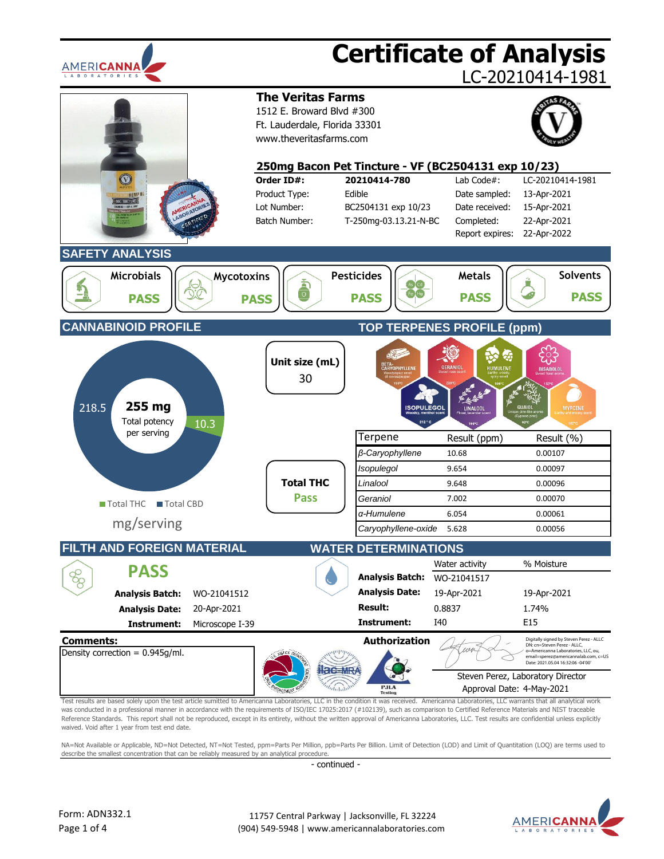

was conducted in a professional manner in accordance with the requirements of ISO/IEC 17025:2017 (#102139), such as comparison to Certified Reference Materials and NIST traceable Reference Standards. This report shall not be reproduced, except in its entirety, without the written approval of Americanna Laboratories, LLC. Test results are confidential unless explicitly waived. Void after 1 year from test end date.

NA=Not Available or Applicable, ND=Not Detected, NT=Not Tested, ppm=Parts Per Million, ppb=Parts Per Billion. Limit of Detection (LOD) and Limit of Quantitation (LOQ) are terms used to describe the smallest concentration that can be reliably measured by an analytical procedure.

- continued -

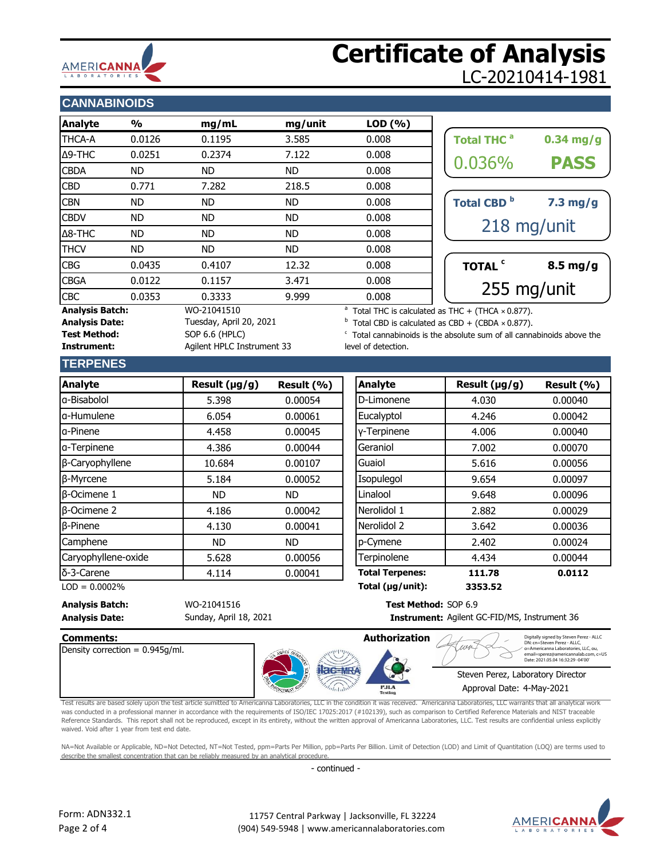

# **Certificate of Analysis** LC-20210414-1981

## **CANNABINOIDS**

| <b>Analyte</b>                                                                            | $\frac{0}{0}$ | mg/mL     | mg/unit   | LOD(%)                                                                                                                          |                              |                    |
|-------------------------------------------------------------------------------------------|---------------|-----------|-----------|---------------------------------------------------------------------------------------------------------------------------------|------------------------------|--------------------|
| THCA-A                                                                                    | 0.0126        | 0.1195    | 3.585     | 0.008                                                                                                                           | <b>Total THC<sup>a</sup></b> | $0.34$ mg/g        |
| Δ9-THC                                                                                    | 0.0251        | 0.2374    | 7.122     | 0.008                                                                                                                           | 0.036%                       |                    |
| <b>CBDA</b>                                                                               | <b>ND</b>     | ND.       | ND.       | 0.008                                                                                                                           |                              | <b>PASS</b>        |
| <b>CBD</b>                                                                                | 0.771         | 7.282     | 218.5     | 0.008                                                                                                                           |                              |                    |
| <b>CBN</b>                                                                                | <b>ND</b>     | ND.       | <b>ND</b> | 0.008                                                                                                                           | Total CBD <sup>b</sup>       | $7.3$ mg/g         |
| <b>CBDV</b>                                                                               | ND            | ND        | ND        | 0.008                                                                                                                           |                              |                    |
| $\triangle$ 8-THC                                                                         | <b>ND</b>     | <b>ND</b> | ND.       | 0.008                                                                                                                           |                              | 218 mg/unit        |
| <b>THCV</b>                                                                               | <b>ND</b>     | <b>ND</b> | ND.       | 0.008                                                                                                                           |                              |                    |
| <b>CBG</b>                                                                                | 0.0435        | 0.4107    | 12.32     | 0.008                                                                                                                           | TOTAL <sup>c</sup>           | $8.5 \text{ mg/g}$ |
| <b>CBGA</b>                                                                               | 0.0122        | 0.1157    | 3.471     | 0.008                                                                                                                           |                              |                    |
| <b>CBC</b>                                                                                | 0.0353        | 0.3333    | 9.999     | 0.008                                                                                                                           |                              | 255 mg/unit        |
| <b>Analysis Batch:</b><br>WO-21041510<br>Tuesday, April 20, 2021<br><b>Analysis Date:</b> |               |           |           | <sup>a</sup> Total THC is calculated as THC + (THCA $\times$ 0.877).<br>Total CBD is calculated as CBD + (CBDA $\times$ 0.877). |                              |                    |

| <b>Total THC<sup>a</sup></b>  | $0.34$ mg/g |  |  |
|-------------------------------|-------------|--|--|
| 0.036%                        | <b>PASS</b> |  |  |
| <b>Total CBD</b> <sup>b</sup> | $7.3$ mg/g  |  |  |
| 218 mg/unit                   |             |  |  |
| <b>TOTAL</b>                  | $8.5$ mg/g  |  |  |
| 255 mg/unit                   |             |  |  |

Total CBD is calculated as CBD + (CBDA  $\times$  0.877).

 $\degree$  Total cannabinoids is the absolute sum of all cannabinoids above the level of detection.

### **TERPENES**

| <b>Analyte</b>      | Result $(\mu g/g)$ | Result (%) | <b>Analyte</b>         | Result (µg/g) |
|---------------------|--------------------|------------|------------------------|---------------|
| lg-Bisabolol        | 5.398              | 0.00054    | D-Limonene             | 4.030         |
| a-Humulene          | 6.054              | 0.00061    | Eucalyptol             | 4.246         |
| la-Pinene           | 4.458              | 0.00045    | y-Terpinene            | 4.006         |
| a-Terpinene         | 4.386              | 0.00044    | Geraniol               | 7.002         |
| β-Caryophyllene     | 10.684             | 0.00107    | Guaiol                 | 5.616         |
| β-Myrcene           | 5.184              | 0.00052    | Isopulegol             | 9.654         |
| $\beta$ -Ocimene 1  | <b>ND</b>          | ND.        | Linalool               | 9.648         |
| $\beta$ -Ocimene 2  | 4.186              | 0.00042    | Nerolidol 1            | 2.882         |
| $\beta$ -Pinene     | 4.130              | 0.00041    | Nerolidol 2            | 3.642         |
| Camphene            | <b>ND</b>          | <b>ND</b>  | p-Cymene               | 2.402         |
| Caryophyllene-oxide | 5.628              | 0.00056    | Terpinolene            | 4.434         |
| δ-3-Carene          | 4.114              | 0.00041    | <b>Total Terpenes:</b> | 111.78        |

| <b>Analyte</b>      | Result (µg/g) | Result (%) | Analyte                | Result (µg/g) | Result $(% )$ |
|---------------------|---------------|------------|------------------------|---------------|---------------|
| a-Bisabolol         | 5.398         | 0.00054    | D-Limonene             | 4.030         | 0.00040       |
| a-Humulene          | 6.054         | 0.00061    | Eucalyptol             | 4.246         | 0.00042       |
| a-Pinene            | 4.458         | 0.00045    | y-Terpinene            | 4.006         | 0.00040       |
| a-Terpinene         | 4.386         | 0.00044    | Geraniol               | 7.002         | 0.00070       |
| β-Caryophyllene     | 10.684        | 0.00107    | Guaiol                 | 5.616         | 0.00056       |
| β-Myrcene           | 5.184         | 0.00052    | Isopulegol             | 9.654         | 0.00097       |
| <b>B-Ocimene 1</b>  | ND.           | ND.        | Linalool               | 9.648         | 0.00096       |
| <b>B-Ocimene 2</b>  | 4.186         | 0.00042    | Nerolidol 1            | 2.882         | 0.00029       |
| <b>B-Pinene</b>     | 4.130         | 0.00041    | Nerolidol 2            | 3.642         | 0.00036       |
| Camphene            | ND.           | ND.        | p-Cymene               | 2.402         | 0.00024       |
| Caryophyllene-oxide | 5.628         | 0.00056    | Terpinolene            | 4.434         | 0.00044       |
| δ-3-Carene          | 4.114         | 0.00041    | <b>Total Terpenes:</b> | 111.78        | 0.0112        |
| $LOD = 0.0002%$     |               |            | Total (µg/unit):       | 3353.52       |               |

#### **Analysis Batch:** WO-21041516 **Test Method:** SOP 6.9 **Analysis Date: Instrument:** Sunday, April 18, 2021

Test Method: SOP 6.6 (HPLC)

**Instrument:** Agilent HPLC Instrument 33

Instrument: Agilent GC-FID/MS, Instrument 36



Test results are based solely upon the test article sumitted to Americanna Laboratories, LLC in the condition it was received. Americanna Laboratories, LLC warrants that all analytical work was conducted in a professional manner in accordance with the requirements of ISO/IEC 17025:2017 (#102139), such as comparison to Certified Reference Materials and NIST traceable Reference Standards. This report shall not be reproduced, except in its entirety, without the written approval of Americanna Laboratories, LLC. Test results are confidential unless explicitly waived. Void after 1 year from test end date.

NA=Not Available or Applicable, ND=Not Detected, NT=Not Tested, ppm=Parts Per Million, ppb=Parts Per Billion. Limit of Detection (LOD) and Limit of Quantitation (LOQ) are terms used to describe the smallest concentration that can be reliably measured by an analytical procedure.

- continued -

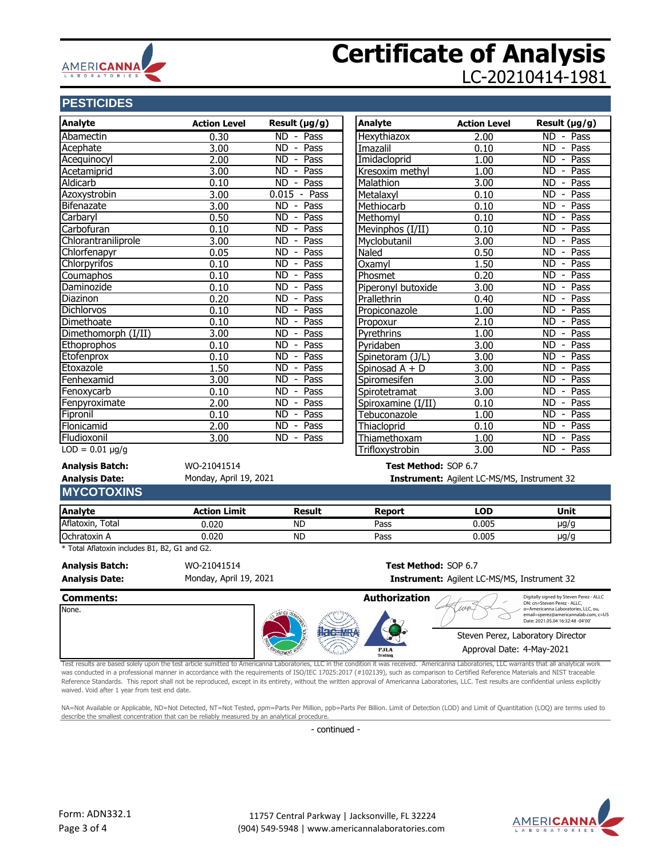

# **Certificate of Analysis** LC-20210414-1981

# **PESTICIDES**

| <b>Analyte</b><br><b>Analyte</b><br>Result (µg/g)<br><b>Action Level</b><br><b>Action Level</b><br>ND - Pass<br>Hexythiazox<br>0.30<br>2.00<br>3.00<br><b>ND</b><br>Pass<br>0.10<br>Imazalil<br>$\sim$<br>Imidacloprid<br>2.00<br>ND.<br>Pass<br>1.00<br>$\overline{\phantom{a}}$<br>3.00<br>$\overline{\text{ND}}$ -<br>Pass<br>1.00<br>Kresoxim methyl<br>3.00<br>0.10<br>$ND -$<br>Pass<br>Malathion<br>$0.015 - Pass$<br>3.00<br>0.10<br>Metalaxyl<br>Methiocarb<br>3.00<br>$ND -$<br>Pass<br>0.10<br>0.50<br>$ND -$<br>Pass<br>Methomyl<br>0.10<br>0.10<br>Mevinphos (I/II)<br><b>ND</b><br>Pass<br>0.10<br>$\overline{\phantom{a}}$<br>3.00<br>3.00<br>ND.<br>Pass<br>Myclobutanil<br>$\overline{\phantom{a}}$<br><b>ND</b><br>0.05<br>Pass<br>Naled<br>0.50<br>$\sim$<br>1.50<br>0.10<br>ND.<br>Pass<br>$\overline{\phantom{a}}$<br>Oxamyl<br>0.10<br>$ND -$<br>0.20<br>Pass<br>Phosmet<br>0.10<br>ND.<br>Pass<br>Piperonyl butoxide<br>3.00<br>$\overline{\phantom{a}}$<br>0.20<br>$ND -$<br>Pass<br>Prallethrin<br>0.40<br>0.10<br><b>ND</b><br>Pass<br>1.00<br>Propiconazole<br>$\overline{\phantom{a}}$<br>$\overline{ND}$<br>Pass<br>0.10<br>2.10<br>Propoxur<br>$\overline{\phantom{a}}$<br>3.00<br><b>ND</b><br>Pass<br>1.00<br>Pyrethrins<br>$\overline{\phantom{a}}$<br>Pass<br>0.10<br>$ND -$<br>3.00<br>Pyridaben<br>$ND -$<br>3.00<br>0.10<br>Pass<br>Spinetoram (J/L)<br>Pass<br>1.50<br>ND.<br>3.00<br>$\overline{\phantom{a}}$<br>Spinosad A + D<br>3.00<br>$ND -$<br>Pass<br>3.00<br>Spiromesifen<br>0.10<br><b>ND</b><br>Pass<br>3.00<br>$\overline{\phantom{a}}$<br>Spirotetramat<br>2.00<br><b>ND</b><br>Pass<br>Spiroxamine (I/II)<br>0.10<br>$\overline{\phantom{a}}$<br><b>ND</b><br>Pass<br>0.10<br>Tebuconazole<br>1.00<br>$\overline{\phantom{a}}$<br>2.00<br><b>ND</b><br>Pass<br>Thiacloprid<br>0.10<br>$\overline{\phantom{a}}$<br>$ND -$<br>Pass<br>3.00<br>1.00<br>Thiamethoxam<br>Trifloxystrobin<br>3.00<br>Test Method: SOP 6.7<br>WO-21041514<br>Monday, April 19, 2021<br>Instrument: Agilent LC-MS/MS, Instrument 32<br><b>Action Limit</b><br>Result<br><b>Report</b><br><b>LOD</b><br>0.005<br>0.020<br><b>ND</b><br>Pass<br>0.020<br><b>ND</b><br>Pass<br>0.005<br>Test Method: SOP 6.7<br>WO-21041514<br>Monday, April 19, 2021<br>Instrument: Agilent LC-MS/MS, Instrument 32 | <b>PESIIUIDES</b> |  |                      |                                                                        |
|-------------------------------------------------------------------------------------------------------------------------------------------------------------------------------------------------------------------------------------------------------------------------------------------------------------------------------------------------------------------------------------------------------------------------------------------------------------------------------------------------------------------------------------------------------------------------------------------------------------------------------------------------------------------------------------------------------------------------------------------------------------------------------------------------------------------------------------------------------------------------------------------------------------------------------------------------------------------------------------------------------------------------------------------------------------------------------------------------------------------------------------------------------------------------------------------------------------------------------------------------------------------------------------------------------------------------------------------------------------------------------------------------------------------------------------------------------------------------------------------------------------------------------------------------------------------------------------------------------------------------------------------------------------------------------------------------------------------------------------------------------------------------------------------------------------------------------------------------------------------------------------------------------------------------------------------------------------------------------------------------------------------------------------------------------------------------------------------------------------------------------------------------------------------------------------------------------------------------------------------------------------------------------------------------------------------------------|-------------------|--|----------------------|------------------------------------------------------------------------|
| Abamectin<br>Acephate<br>Acequinocyl<br>Acetamiprid<br>Aldicarb<br>Azoxystrobin<br>Bifenazate<br>Carbaryl<br>Carbofuran<br>Chlorantraniliprole<br>Chlorfenapyr<br>Chlorpyrifos<br>Coumaphos<br>Daminozide<br>Diazinon<br><b>Dichlorvos</b><br>Dimethoate<br>Dimethomorph (I/II)<br>Ethoprophos<br>Etofenprox<br>Etoxazole<br>Fenhexamid<br>Fenoxycarb<br>Fenpyroximate<br>Fipronil<br>Flonicamid<br>Fludioxonil<br>$LOD = 0.01 \mu g/g$<br><b>Analysis Batch:</b><br><b>Analysis Date:</b><br><b>MYCOTOXINS</b><br><b>Analyte</b><br>Aflatoxin, Total<br>Ochratoxin A<br>* Total Aflatoxin includes B1, B2, G1 and G2.<br><b>Analysis Batch:</b><br><b>Analysis Date:</b>                                                                                                                                                                                                                                                                                                                                                                                                                                                                                                                                                                                                                                                                                                                                                                                                                                                                                                                                                                                                                                                                                                                                                                                                                                                                                                                                                                                                                                                                                                                                                                                                                                                     |                   |  |                      | Result $(\mu g/g)$                                                     |
|                                                                                                                                                                                                                                                                                                                                                                                                                                                                                                                                                                                                                                                                                                                                                                                                                                                                                                                                                                                                                                                                                                                                                                                                                                                                                                                                                                                                                                                                                                                                                                                                                                                                                                                                                                                                                                                                                                                                                                                                                                                                                                                                                                                                                                                                                                                               |                   |  |                      | ND - Pass                                                              |
|                                                                                                                                                                                                                                                                                                                                                                                                                                                                                                                                                                                                                                                                                                                                                                                                                                                                                                                                                                                                                                                                                                                                                                                                                                                                                                                                                                                                                                                                                                                                                                                                                                                                                                                                                                                                                                                                                                                                                                                                                                                                                                                                                                                                                                                                                                                               |                   |  |                      | ND - Pass                                                              |
|                                                                                                                                                                                                                                                                                                                                                                                                                                                                                                                                                                                                                                                                                                                                                                                                                                                                                                                                                                                                                                                                                                                                                                                                                                                                                                                                                                                                                                                                                                                                                                                                                                                                                                                                                                                                                                                                                                                                                                                                                                                                                                                                                                                                                                                                                                                               |                   |  |                      | Pass<br>ND.<br>$\blacksquare$                                          |
|                                                                                                                                                                                                                                                                                                                                                                                                                                                                                                                                                                                                                                                                                                                                                                                                                                                                                                                                                                                                                                                                                                                                                                                                                                                                                                                                                                                                                                                                                                                                                                                                                                                                                                                                                                                                                                                                                                                                                                                                                                                                                                                                                                                                                                                                                                                               |                   |  |                      | ND - Pass                                                              |
|                                                                                                                                                                                                                                                                                                                                                                                                                                                                                                                                                                                                                                                                                                                                                                                                                                                                                                                                                                                                                                                                                                                                                                                                                                                                                                                                                                                                                                                                                                                                                                                                                                                                                                                                                                                                                                                                                                                                                                                                                                                                                                                                                                                                                                                                                                                               |                   |  |                      | ND - Pass                                                              |
|                                                                                                                                                                                                                                                                                                                                                                                                                                                                                                                                                                                                                                                                                                                                                                                                                                                                                                                                                                                                                                                                                                                                                                                                                                                                                                                                                                                                                                                                                                                                                                                                                                                                                                                                                                                                                                                                                                                                                                                                                                                                                                                                                                                                                                                                                                                               |                   |  |                      | ND - Pass                                                              |
|                                                                                                                                                                                                                                                                                                                                                                                                                                                                                                                                                                                                                                                                                                                                                                                                                                                                                                                                                                                                                                                                                                                                                                                                                                                                                                                                                                                                                                                                                                                                                                                                                                                                                                                                                                                                                                                                                                                                                                                                                                                                                                                                                                                                                                                                                                                               |                   |  |                      | ND - Pass                                                              |
|                                                                                                                                                                                                                                                                                                                                                                                                                                                                                                                                                                                                                                                                                                                                                                                                                                                                                                                                                                                                                                                                                                                                                                                                                                                                                                                                                                                                                                                                                                                                                                                                                                                                                                                                                                                                                                                                                                                                                                                                                                                                                                                                                                                                                                                                                                                               |                   |  |                      | ND<br>Pass<br>$\sim$                                                   |
|                                                                                                                                                                                                                                                                                                                                                                                                                                                                                                                                                                                                                                                                                                                                                                                                                                                                                                                                                                                                                                                                                                                                                                                                                                                                                                                                                                                                                                                                                                                                                                                                                                                                                                                                                                                                                                                                                                                                                                                                                                                                                                                                                                                                                                                                                                                               |                   |  |                      | Pass<br>ND -                                                           |
|                                                                                                                                                                                                                                                                                                                                                                                                                                                                                                                                                                                                                                                                                                                                                                                                                                                                                                                                                                                                                                                                                                                                                                                                                                                                                                                                                                                                                                                                                                                                                                                                                                                                                                                                                                                                                                                                                                                                                                                                                                                                                                                                                                                                                                                                                                                               |                   |  |                      | Pass<br>ND.<br>$\blacksquare$                                          |
|                                                                                                                                                                                                                                                                                                                                                                                                                                                                                                                                                                                                                                                                                                                                                                                                                                                                                                                                                                                                                                                                                                                                                                                                                                                                                                                                                                                                                                                                                                                                                                                                                                                                                                                                                                                                                                                                                                                                                                                                                                                                                                                                                                                                                                                                                                                               |                   |  |                      | ND - Pass                                                              |
|                                                                                                                                                                                                                                                                                                                                                                                                                                                                                                                                                                                                                                                                                                                                                                                                                                                                                                                                                                                                                                                                                                                                                                                                                                                                                                                                                                                                                                                                                                                                                                                                                                                                                                                                                                                                                                                                                                                                                                                                                                                                                                                                                                                                                                                                                                                               |                   |  |                      | - Pass<br>ND.                                                          |
|                                                                                                                                                                                                                                                                                                                                                                                                                                                                                                                                                                                                                                                                                                                                                                                                                                                                                                                                                                                                                                                                                                                                                                                                                                                                                                                                                                                                                                                                                                                                                                                                                                                                                                                                                                                                                                                                                                                                                                                                                                                                                                                                                                                                                                                                                                                               |                   |  |                      | ND - Pass                                                              |
|                                                                                                                                                                                                                                                                                                                                                                                                                                                                                                                                                                                                                                                                                                                                                                                                                                                                                                                                                                                                                                                                                                                                                                                                                                                                                                                                                                                                                                                                                                                                                                                                                                                                                                                                                                                                                                                                                                                                                                                                                                                                                                                                                                                                                                                                                                                               |                   |  |                      | Pass<br>ND -                                                           |
|                                                                                                                                                                                                                                                                                                                                                                                                                                                                                                                                                                                                                                                                                                                                                                                                                                                                                                                                                                                                                                                                                                                                                                                                                                                                                                                                                                                                                                                                                                                                                                                                                                                                                                                                                                                                                                                                                                                                                                                                                                                                                                                                                                                                                                                                                                                               |                   |  |                      | ND - Pass                                                              |
|                                                                                                                                                                                                                                                                                                                                                                                                                                                                                                                                                                                                                                                                                                                                                                                                                                                                                                                                                                                                                                                                                                                                                                                                                                                                                                                                                                                                                                                                                                                                                                                                                                                                                                                                                                                                                                                                                                                                                                                                                                                                                                                                                                                                                                                                                                                               |                   |  |                      | ND - Pass                                                              |
|                                                                                                                                                                                                                                                                                                                                                                                                                                                                                                                                                                                                                                                                                                                                                                                                                                                                                                                                                                                                                                                                                                                                                                                                                                                                                                                                                                                                                                                                                                                                                                                                                                                                                                                                                                                                                                                                                                                                                                                                                                                                                                                                                                                                                                                                                                                               |                   |  |                      | - Pass<br>ND.                                                          |
|                                                                                                                                                                                                                                                                                                                                                                                                                                                                                                                                                                                                                                                                                                                                                                                                                                                                                                                                                                                                                                                                                                                                                                                                                                                                                                                                                                                                                                                                                                                                                                                                                                                                                                                                                                                                                                                                                                                                                                                                                                                                                                                                                                                                                                                                                                                               |                   |  |                      | ND - Pass                                                              |
|                                                                                                                                                                                                                                                                                                                                                                                                                                                                                                                                                                                                                                                                                                                                                                                                                                                                                                                                                                                                                                                                                                                                                                                                                                                                                                                                                                                                                                                                                                                                                                                                                                                                                                                                                                                                                                                                                                                                                                                                                                                                                                                                                                                                                                                                                                                               |                   |  |                      | ND - Pass                                                              |
|                                                                                                                                                                                                                                                                                                                                                                                                                                                                                                                                                                                                                                                                                                                                                                                                                                                                                                                                                                                                                                                                                                                                                                                                                                                                                                                                                                                                                                                                                                                                                                                                                                                                                                                                                                                                                                                                                                                                                                                                                                                                                                                                                                                                                                                                                                                               |                   |  |                      | ND - Pass                                                              |
|                                                                                                                                                                                                                                                                                                                                                                                                                                                                                                                                                                                                                                                                                                                                                                                                                                                                                                                                                                                                                                                                                                                                                                                                                                                                                                                                                                                                                                                                                                                                                                                                                                                                                                                                                                                                                                                                                                                                                                                                                                                                                                                                                                                                                                                                                                                               |                   |  |                      | ND - Pass                                                              |
|                                                                                                                                                                                                                                                                                                                                                                                                                                                                                                                                                                                                                                                                                                                                                                                                                                                                                                                                                                                                                                                                                                                                                                                                                                                                                                                                                                                                                                                                                                                                                                                                                                                                                                                                                                                                                                                                                                                                                                                                                                                                                                                                                                                                                                                                                                                               |                   |  |                      | ND - Pass                                                              |
|                                                                                                                                                                                                                                                                                                                                                                                                                                                                                                                                                                                                                                                                                                                                                                                                                                                                                                                                                                                                                                                                                                                                                                                                                                                                                                                                                                                                                                                                                                                                                                                                                                                                                                                                                                                                                                                                                                                                                                                                                                                                                                                                                                                                                                                                                                                               |                   |  |                      | ND - Pass                                                              |
|                                                                                                                                                                                                                                                                                                                                                                                                                                                                                                                                                                                                                                                                                                                                                                                                                                                                                                                                                                                                                                                                                                                                                                                                                                                                                                                                                                                                                                                                                                                                                                                                                                                                                                                                                                                                                                                                                                                                                                                                                                                                                                                                                                                                                                                                                                                               |                   |  |                      | Pass<br><b>ND</b><br>$\blacksquare$                                    |
|                                                                                                                                                                                                                                                                                                                                                                                                                                                                                                                                                                                                                                                                                                                                                                                                                                                                                                                                                                                                                                                                                                                                                                                                                                                                                                                                                                                                                                                                                                                                                                                                                                                                                                                                                                                                                                                                                                                                                                                                                                                                                                                                                                                                                                                                                                                               |                   |  |                      | ND -<br>Pass                                                           |
|                                                                                                                                                                                                                                                                                                                                                                                                                                                                                                                                                                                                                                                                                                                                                                                                                                                                                                                                                                                                                                                                                                                                                                                                                                                                                                                                                                                                                                                                                                                                                                                                                                                                                                                                                                                                                                                                                                                                                                                                                                                                                                                                                                                                                                                                                                                               |                   |  |                      | Pass<br>ND.<br>$\blacksquare$                                          |
|                                                                                                                                                                                                                                                                                                                                                                                                                                                                                                                                                                                                                                                                                                                                                                                                                                                                                                                                                                                                                                                                                                                                                                                                                                                                                                                                                                                                                                                                                                                                                                                                                                                                                                                                                                                                                                                                                                                                                                                                                                                                                                                                                                                                                                                                                                                               |                   |  |                      | ND - Pass                                                              |
|                                                                                                                                                                                                                                                                                                                                                                                                                                                                                                                                                                                                                                                                                                                                                                                                                                                                                                                                                                                                                                                                                                                                                                                                                                                                                                                                                                                                                                                                                                                                                                                                                                                                                                                                                                                                                                                                                                                                                                                                                                                                                                                                                                                                                                                                                                                               |                   |  |                      | ND - Pass                                                              |
|                                                                                                                                                                                                                                                                                                                                                                                                                                                                                                                                                                                                                                                                                                                                                                                                                                                                                                                                                                                                                                                                                                                                                                                                                                                                                                                                                                                                                                                                                                                                                                                                                                                                                                                                                                                                                                                                                                                                                                                                                                                                                                                                                                                                                                                                                                                               |                   |  |                      |                                                                        |
|                                                                                                                                                                                                                                                                                                                                                                                                                                                                                                                                                                                                                                                                                                                                                                                                                                                                                                                                                                                                                                                                                                                                                                                                                                                                                                                                                                                                                                                                                                                                                                                                                                                                                                                                                                                                                                                                                                                                                                                                                                                                                                                                                                                                                                                                                                                               |                   |  |                      |                                                                        |
|                                                                                                                                                                                                                                                                                                                                                                                                                                                                                                                                                                                                                                                                                                                                                                                                                                                                                                                                                                                                                                                                                                                                                                                                                                                                                                                                                                                                                                                                                                                                                                                                                                                                                                                                                                                                                                                                                                                                                                                                                                                                                                                                                                                                                                                                                                                               |                   |  |                      |                                                                        |
|                                                                                                                                                                                                                                                                                                                                                                                                                                                                                                                                                                                                                                                                                                                                                                                                                                                                                                                                                                                                                                                                                                                                                                                                                                                                                                                                                                                                                                                                                                                                                                                                                                                                                                                                                                                                                                                                                                                                                                                                                                                                                                                                                                                                                                                                                                                               |                   |  |                      | Unit                                                                   |
|                                                                                                                                                                                                                                                                                                                                                                                                                                                                                                                                                                                                                                                                                                                                                                                                                                                                                                                                                                                                                                                                                                                                                                                                                                                                                                                                                                                                                                                                                                                                                                                                                                                                                                                                                                                                                                                                                                                                                                                                                                                                                                                                                                                                                                                                                                                               |                   |  |                      | $\mu$ g/g                                                              |
|                                                                                                                                                                                                                                                                                                                                                                                                                                                                                                                                                                                                                                                                                                                                                                                                                                                                                                                                                                                                                                                                                                                                                                                                                                                                                                                                                                                                                                                                                                                                                                                                                                                                                                                                                                                                                                                                                                                                                                                                                                                                                                                                                                                                                                                                                                                               |                   |  |                      | $\mu$ g/g                                                              |
|                                                                                                                                                                                                                                                                                                                                                                                                                                                                                                                                                                                                                                                                                                                                                                                                                                                                                                                                                                                                                                                                                                                                                                                                                                                                                                                                                                                                                                                                                                                                                                                                                                                                                                                                                                                                                                                                                                                                                                                                                                                                                                                                                                                                                                                                                                                               |                   |  |                      |                                                                        |
|                                                                                                                                                                                                                                                                                                                                                                                                                                                                                                                                                                                                                                                                                                                                                                                                                                                                                                                                                                                                                                                                                                                                                                                                                                                                                                                                                                                                                                                                                                                                                                                                                                                                                                                                                                                                                                                                                                                                                                                                                                                                                                                                                                                                                                                                                                                               |                   |  |                      |                                                                        |
|                                                                                                                                                                                                                                                                                                                                                                                                                                                                                                                                                                                                                                                                                                                                                                                                                                                                                                                                                                                                                                                                                                                                                                                                                                                                                                                                                                                                                                                                                                                                                                                                                                                                                                                                                                                                                                                                                                                                                                                                                                                                                                                                                                                                                                                                                                                               |                   |  |                      |                                                                        |
|                                                                                                                                                                                                                                                                                                                                                                                                                                                                                                                                                                                                                                                                                                                                                                                                                                                                                                                                                                                                                                                                                                                                                                                                                                                                                                                                                                                                                                                                                                                                                                                                                                                                                                                                                                                                                                                                                                                                                                                                                                                                                                                                                                                                                                                                                                                               | <b>Comments:</b>  |  | <b>Authorization</b> | Digitally signed by Steven Perez - ALLC<br>DN: cn=Steven Perez - ALLC, |



ts are based solely upon the test article sumitted to Americanna Laboratories, LLC in the condition it was received. Americanna Laboratories, LLC warrants that all analytical work was conducted in a professional manner in accordance with the requirements of ISO/IEC 17025:2017 (#102139), such as comparison to Certified Reference Materials and NIST traceable Reference Standards. This report shall not be reproduced, except in its entirety, without the written approval of Americanna Laboratories, LLC. Test results are confidential unless explicitly waived. Void after 1 year from test end date.

NA=Not Available or Applicable, ND=Not Detected, NT=Not Tested, ppm=Parts Per Million, ppb=Parts Per Billion. Limit of Detection (LOD) and Limit of Quantitation (LOQ) are terms used to describe the smallest concentration that can be reliably measured by an analytical procedure.

- continued -